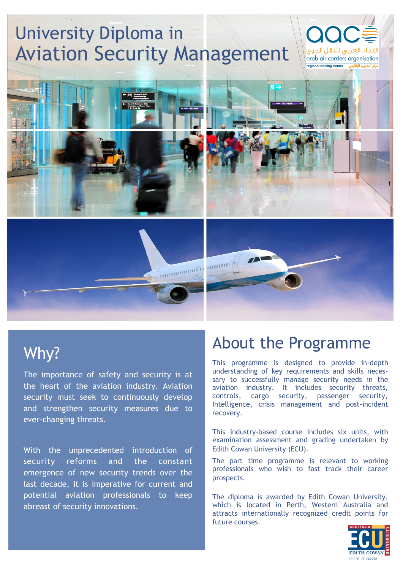# University Diploma in Aviation Security Management



## Why?

The importance of safety and security is at the heart of the aviation industry. Aviation security must seek to continuously develop and strengthen security measures due to ever-changing threats.

With the unprecedented introduction of security reforms and the constant emergence of new security trends over the last decade, it is imperative for current and potential aviation professionals to keep abreast of security innovations.

### About the Programme

This programme is designed to provide in-depth understanding of key requirements and skills necessary to successfully manage security needs in the aviation industry. It includes security threats, controls, cargo security, passenger security, Intelligence, crisis management and post-incident recovery.

الإتحاد العربى للنقل الجوى arab air carriers organisation

.<br>مكد التدريب الأقليمي.

**Tegional training center** 

This industry-based course includes six units, with examination assessment and grading undertaken by Edith Cowan University (ECU).

The part time programme is relevant to working professionals who wish to fast track their career prospects.

The diploma is awarded by Edith Cowan University, which is located in Perth, Western Australia and attracts internationally recognized credit points for future courses.